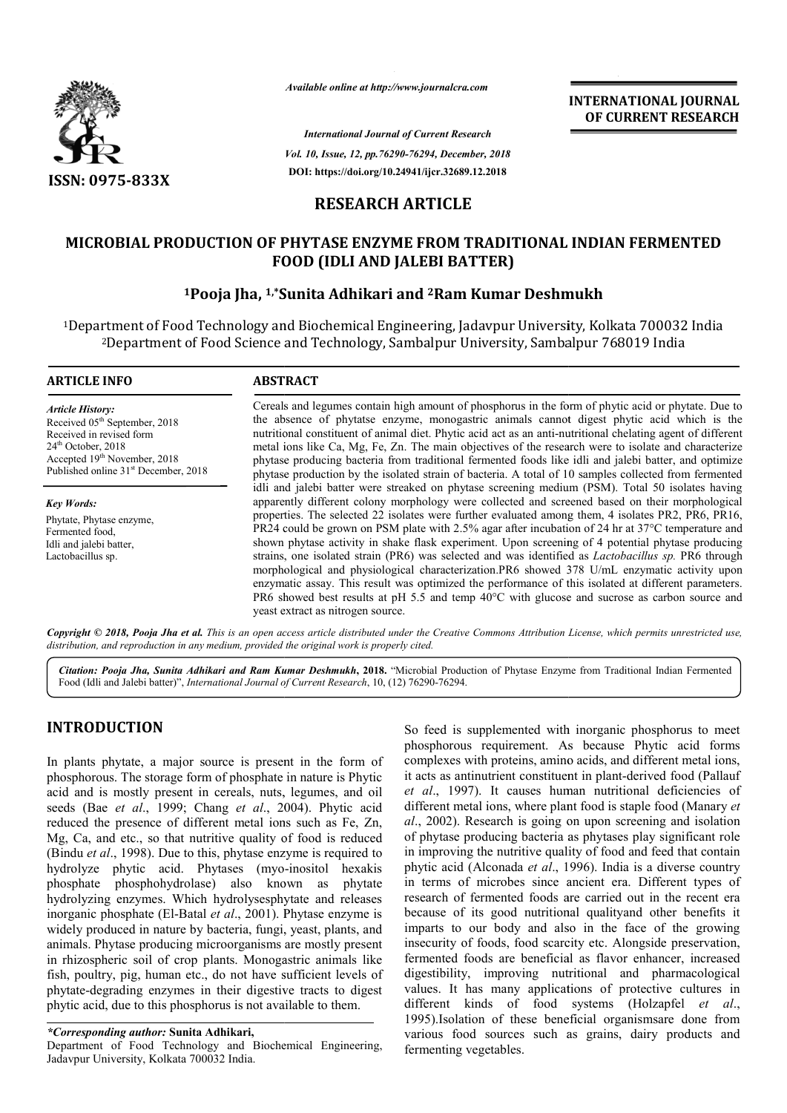

*Available online at http://www.journalcra.com*

*International Journal of Current Research Vol. 10, Issue, 12, pp.76290-76294, December, 2018* **DOI: https://doi.org/10.24941/ijcr.32689.12.2018**

**INTERNATIONAL JOURNAL OF CURRENT RESEARCH**

# **RESEARCH ARTICLE**

# MICROBIAL PRODUCTION OF PHYTASE ENZYME FROM TRADITIONAL INDIAN FERMENTED<br>FOOD (IDLI AND JALEBI BATTER)<br><sup>1</sup>Pooja Jha, <sup>1,\*</sup>Sunita Adhikari and <sup>2</sup>Ram Kumar Deshmukh **FOOD (IDLI AND JALEBI BATTER)**

# **1Pooja Jha, 1,\*Sunita Adhikari and Sunita 2Ram Kumar Deshmukh**

<sup>1</sup>Department of Food Technology and Biochemical Engineering, Jadavpur University, Kolkata 700032 India <sup>2</sup>Department of Food Science and Technology, Sambalpur University, Sambalpur 768019 India

#### **ARTICLE INFO ABSTRACT**

*Article History:* Received 05<sup>th</sup> September, 2018 Received in revised form 24<sup>th</sup> October, 2018 Accepted 19<sup>th</sup> November, 2018 Published online 31<sup>st</sup> December, 2018

*Key Words:* Phytate, Phytase enzyme, Fermented food, Idli and jalebi batter, Lactobacillus sp.

Cereals and legumes contain high amount of phosphorus in the form of phytic acid or phytate. Due to Cereals and legumes contain high amount of phosphorus in the form of phytic acid or phytate. Due to the absence of phytatse enzyme, monogastric animals cannot digest phytic acid which is the nutritional constituent of animal diet. Phytic acid act as an anti anti-nutritional chelating agent of different metal ions like Ca, Mg, Fe, Zn. The main objectives of the research were to isolate and characterize phytase producing bacteria from traditional fermented foods like idli and jalebi batter, and optimize phytase production by the isolated strain of bacteria. A total of 10 samples collected from fermented idli and jalebi batter were streaked on phytase screening medium (PSM). Total 50 isolates having apparently different colony morphology were collected and screened based on their morphological properties. The selected 22 isolates were further evaluated among them, 4 isolates PR2, PR6, PR16, PR24 could be grown on PSM plate with 2.5% agar after incubation of 24 hr at  $37^{\circ}$ C temperature and shown phytase activity in shake flask experiment. Upon screening of 4 potential phytase producing strains, one isolated strain (PR6) was selected and was identified as *Lactobacillus sp.* PR6 through morphologi morphological and physiological characterization.PR6 showed 378 U/mL enzymatic activity upon enzymatic assay. This result was optimized the performance of this isolated at different parameters. PR6 showed best results at pH 5.5 and temp 40°C with glucose and sucrose as carbon source and yeast extract as nitrogen source. nutritional constituent of animal diet. Phytic acid act as an anti-nutritional chelating agent of different<br>metal ions like Ca, Mg, Fe, Zn. The main objectives of the research were to isolate and characterize<br>phytase produ apparently different colony morphology were collected and screened based on their morphological<br>properties. The selected 22 isolates were further evaluated among them, 4 isolates PR2, PR6, PR16,<br>PR24 could be grown on PSM morphological and physiological characterization.PR6 showed 378 U/mL enzymatic activity upon<br>enzymatic assay. This result was optimized the performance of this isolated at different parameters.<br>PR6 showed best results at p

Copyright © 2018, Pooja Jha et al. This is an open access article distributed under the Creative Commons Attribution License, which permits unrestricted use, *distribution, and reproduction in any medium, provided the original work is properly cited.*

Citation: Pooja Jha, Sunita Adhikari and Ram Kumar Deshmukh, 2018. "Microbial Production of Phytase Enzyme from Traditional Indian Fermented Food (Idli and Jalebi batter)", *International Journal of Current Research*, 10, (12) 76290-76294.

# **INTRODUCTION**

In plants phytate, a major source is present in the form of phosphorous. The storage form of phosphate in nature is Phytic acid and is mostly present in cereals, nuts, legumes, and oil seeds (Bae *et al*., 1999; Chang *et al*., 2004). Phytic acid reduced the presence of different metal ions such as Fe, Zn, Mg, Ca, and etc., so that nutritive quality of food is reduced (Bindu *et al*., 1998). Due to this, phytase enzyme is required to reduced the presence of different metal ions such as Fe, Zn, Mg, Ca, and etc., so that nutritive quality of food is reduced (Bindu *et al.*, 1998). Due to this, phytase enzyme is required to hydrolyze phytic acid. Phytases phosphate phosphohydrolase) also known as phytate hydrolyzing enzymes. Which hydrolysesphytate and releases inorganic phosphate (El-Batal *et al*., 2001). Phytase enzyme is widely produced in nature by bacteria, fungi, yeast, plants, and animals. Phytase producing microorganisms are in rhizospheric soil of crop plants. Monogastric animals like fish, poultry, pig, human etc., do not have sufficient levels of phytate-degrading enzymes in their digestive tracts to digest phytic acid, due to this phosphorus is not available to them. ) also known as phytate hydrolysesphytate and releases *et al.*, 2001). Phytase enzyme is a sacteria, fungi, yeast, plants, and croorganisms are mostly present

*\*Corresponding author:* **Sunita Adhikari,**

Department of Food Technology and Biochemical Engineering, Jadavpur University, Kolkata 700032 India.

So feed is supplemented with inorganic phosphorus to meet So feed is supplemented with inorganic phosphorus to meet phosphorous requirement. As because Phytic acid forms complexes with proteins, amino acids, and different metal ions, it acts as antinutrient constituent in plant-derived food (Pallauf *et al*., 1997). It causes human nutritional deficiencies of et al., 1997). It causes human nutritional deficiencies of different metal ions, where plant food is staple food (Manary et *al*., 2002). Research is going on upon screening and isolation of phytase producing bacteria as phytases play significant role in improving the nutritive quality of food and feed that contain phytic acid (Alconada *et al*., 1996). India is a diverse country in terms of microbes since ancient era. Different types of research of fermented foods are carried out in the recent era because of its good nutritional qualityand other benefits it in terms of microbes since ancient era. Different types of research of fermented foods are carried out in the recent era because of its good nutritional quality and other benefits it imparts to our body and also in the fac insecurity of foods, food scarcity etc. Alongside preservation, fermented foods are beneficial as flavor enhancer, increased digestibility, improving nutritional and pharmacological values. It has many applications of protective cultures in different kinds of food systems (Holzapfel kinds (Holzapfel *et al*., 1995).Isolation of these beneficial organismsare done from various food sources such as grains, dairy products and fermenting vegetables. 2002). Research is going on upon screening and isolation phytase producing bacteria as phytases play significant role improving the nutritive quality of food and feed that contain insecurity of foods, food scarcity etc. Alongside preservation, fermented foods are beneficial as flavor enhancer, increased digestibility, improving nutritional and pharmacological values. It has many applications of prot **INTERNATIONAL JOURNAL**<br> **OF CURRENT RESEARCH**<br> **OF CURRENT RESEARCH**<br> **OF CURRENT RESEARCH**<br> **OF CURRENT RESEARCH**<br> **2018**<br> **2018**<br> **2018**<br> **2018**<br> **2018**<br> **2018**<br> **2018**<br> **2018**<br> **2018**<br> **2018**<br> **2019**<br> **2019**<br> **2019**<br>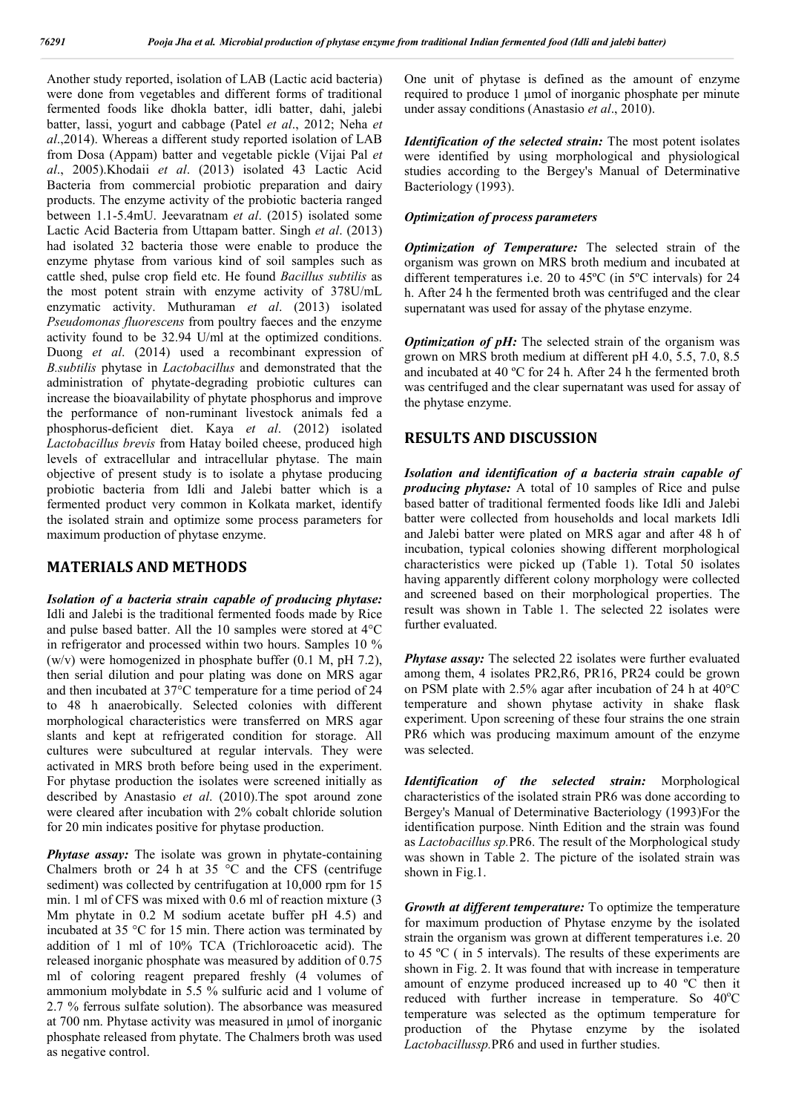Another study reported, isolation of LAB (Lactic acid bacteria) were done from vegetables and different forms of traditional fermented foods like dhokla batter, idli batter, dahi, jalebi batter, lassi, yogurt and cabbage (Patel *et al*., 2012; Neha *et al*.,2014). Whereas a different study reported isolation of LAB from Dosa (Appam) batter and vegetable pickle (Vijai Pal *et al*., 2005).Khodaii *et al*. (2013) isolated 43 Lactic Acid Bacteria from commercial probiotic preparation and dairy products. The enzyme activity of the probiotic bacteria ranged between 1.1-5.4mU. Jeevaratnam *et al*. (2015) isolated some Lactic Acid Bacteria from Uttapam batter. Singh *et al*. (2013) had isolated 32 bacteria those were enable to produce the enzyme phytase from various kind of soil samples such as cattle shed, pulse crop field etc. He found *Bacillus subtilis* as the most potent strain with enzyme activity of 378U/mL enzymatic activity. Muthuraman *et al*. (2013) isolated *Pseudomonas fluorescens* from poultry faeces and the enzyme activity found to be 32.94 U/ml at the optimized conditions. Duong *et al*. (2014) used a recombinant expression of *B.subtilis* phytase in *Lactobacillus* and demonstrated that the administration of phytate-degrading probiotic cultures can increase the bioavailability of phytate phosphorus and improve the performance of non-ruminant livestock animals fed a phosphorus-deficient diet. Kaya *et al*. (2012) isolated *Lactobacillus brevis* from Hatay boiled cheese, produced high levels of extracellular and intracellular phytase. The main objective of present study is to isolate a phytase producing probiotic bacteria from Idli and Jalebi batter which is a fermented product very common in Kolkata market, identify the isolated strain and optimize some process parameters for maximum production of phytase enzyme.

### **MATERIALS AND METHODS**

*Isolation of a bacteria strain capable of producing phytase:*  Idli and Jalebi is the traditional fermented foods made by Rice and pulse based batter. All the 10 samples were stored at 4°C in refrigerator and processed within two hours. Samples 10 % (w/v) were homogenized in phosphate buffer (0.1 M, pH 7.2), then serial dilution and pour plating was done on MRS agar and then incubated at 37°C temperature for a time period of 24 to 48 h anaerobically. Selected colonies with different morphological characteristics were transferred on MRS agar slants and kept at refrigerated condition for storage. All cultures were subcultured at regular intervals. They were activated in MRS broth before being used in the experiment. For phytase production the isolates were screened initially as described by Anastasio *et al*. (2010).The spot around zone were cleared after incubation with 2% cobalt chloride solution for 20 min indicates positive for phytase production.

*Phytase assay:* The isolate was grown in phytate-containing Chalmers broth or 24 h at 35 °C and the CFS (centrifuge sediment) was collected by centrifugation at 10,000 rpm for 15 min. 1 ml of CFS was mixed with 0.6 ml of reaction mixture (3 Mm phytate in 0.2 M sodium acetate buffer pH 4.5) and incubated at 35 °C for 15 min. There action was terminated by addition of 1 ml of 10% TCA (Trichloroacetic acid). The released inorganic phosphate was measured by addition of 0.75 ml of coloring reagent prepared freshly (4 volumes of ammonium molybdate in 5.5 % sulfuric acid and 1 volume of 2.7 % ferrous sulfate solution). The absorbance was measured at 700 nm. Phytase activity was measured in μmol of inorganic phosphate released from phytate. The Chalmers broth was used as negative control.

One unit of phytase is defined as the amount of enzyme required to produce 1 μmol of inorganic phosphate per minute under assay conditions (Anastasio *et al*., 2010).

*Identification of the selected strain:* The most potent isolates were identified by using morphological and physiological studies according to the Bergey's Manual of Determinative Bacteriology (1993).

#### *Optimization of process parameters*

*Optimization of Temperature:* The selected strain of the organism was grown on MRS broth medium and incubated at different temperatures i.e. 20 to 45ºC (in 5ºC intervals) for 24 h. After 24 h the fermented broth was centrifuged and the clear supernatant was used for assay of the phytase enzyme.

*Optimization of pH:* The selected strain of the organism was grown on MRS broth medium at different pH 4.0, 5.5, 7.0, 8.5 and incubated at 40 ºC for 24 h. After 24 h the fermented broth was centrifuged and the clear supernatant was used for assay of the phytase enzyme.

#### **RESULTS AND DISCUSSION**

*Isolation and identification of a bacteria strain capable of producing phytase:* A total of 10 samples of Rice and pulse based batter of traditional fermented foods like Idli and Jalebi batter were collected from households and local markets Idli and Jalebi batter were plated on MRS agar and after 48 h of incubation, typical colonies showing different morphological characteristics were picked up (Table 1). Total 50 isolates having apparently different colony morphology were collected and screened based on their morphological properties. The result was shown in Table 1. The selected 22 isolates were further evaluated.

*Phytase assay:* The selected 22 isolates were further evaluated among them, 4 isolates PR2,R6, PR16, PR24 could be grown on PSM plate with 2.5% agar after incubation of 24 h at 40°C temperature and shown phytase activity in shake flask experiment. Upon screening of these four strains the one strain PR6 which was producing maximum amount of the enzyme was selected.

*Identification of the selected strain:* Morphological characteristics of the isolated strain PR6 was done according to Bergey's Manual of Determinative Bacteriology (1993)For the identification purpose. Ninth Edition and the strain was found as *Lactobacillus sp.*PR6. The result of the Morphological study was shown in Table 2. The picture of the isolated strain was shown in Fig.1.

*Growth at different temperature:* To optimize the temperature for maximum production of Phytase enzyme by the isolated strain the organism was grown at different temperatures i.e. 20 to 45 ºC ( in 5 intervals). The results of these experiments are shown in Fig. 2. It was found that with increase in temperature amount of enzyme produced increased up to 40 ºC then it reduced with further increase in temperature. So 40°C temperature was selected as the optimum temperature for production of the Phytase enzyme by the isolated *Lactobacillussp.*PR6 and used in further studies.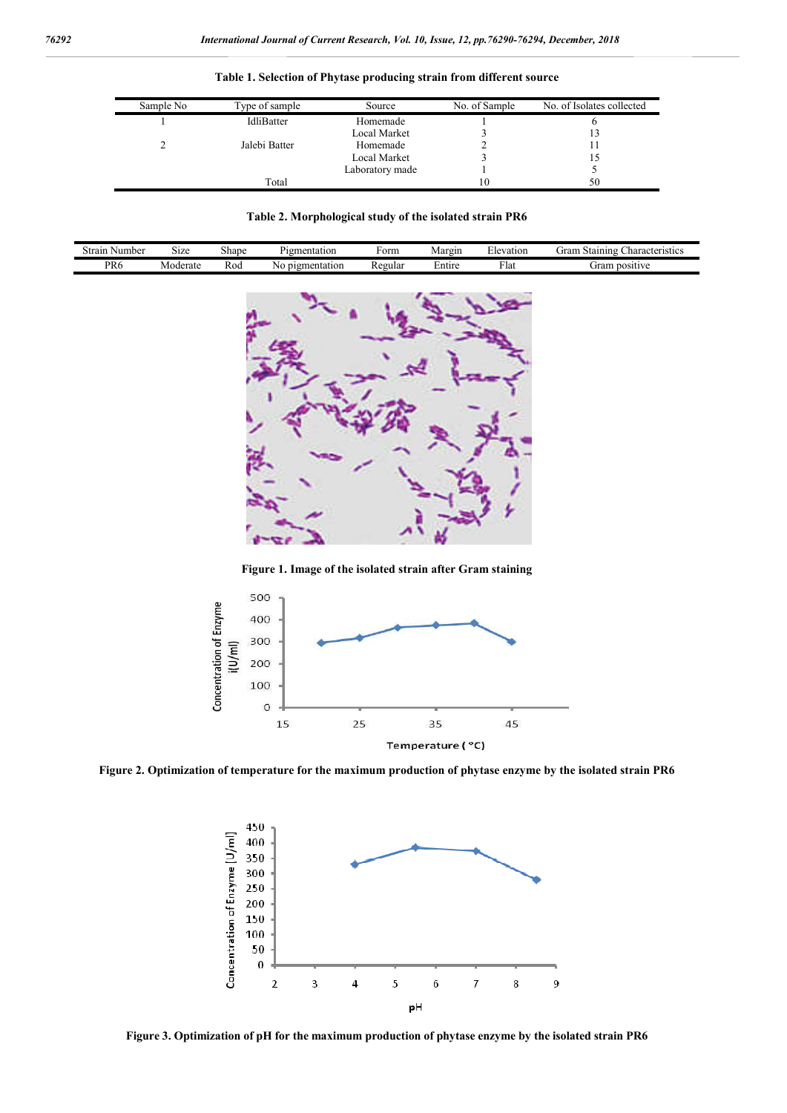| Sample No | Type of sample | Source          | No. of Sample | No. of Isolates collected |
|-----------|----------------|-----------------|---------------|---------------------------|
|           | IdliBatter     | Homemade        |               |                           |
|           |                | Local Market    |               |                           |
|           | Jalebi Batter  | Homemade        |               |                           |
|           |                | Local Market    |               |                           |
|           |                | Laboratory made |               |                           |
|           | Total          |                 | 10            | 50                        |

**Table 1. Selection of Phytase producing strain from different source**

**Table 2. Morphological study of the isolated strain PR6**

| $\sim$<br>Number<br>Strair           | 51Ze     | shape | mentation<br>۲ιστ  | 'orm    | Margin | levation | -<br>haracteristics_<br>Staining<br>urar |  |
|--------------------------------------|----------|-------|--------------------|---------|--------|----------|------------------------------------------|--|
| <sup>D</sup> R <sub>6</sub><br>_____ | loderate | Kod   | pigmentation<br>NG | Regular | ±ntıre | + lat    | positive<br>orar                         |  |



**Figure 1. Image of the isolated strain after Gram staining**



**Figure 2. Optimization of temperature for the maximum production of phytase enzyme by the isolated strain PR6**



**Figure 3. Optimization of pH for the maximum production of phytase enzyme by the isolated strain PR6**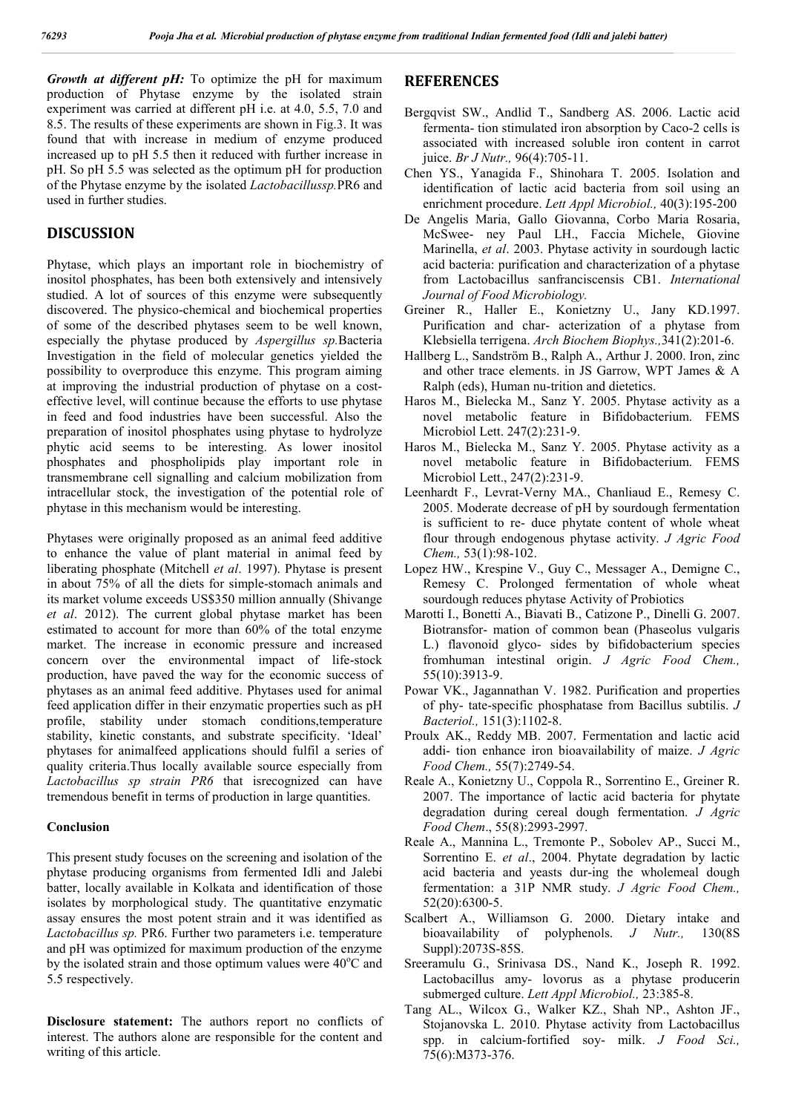*Growth at different pH:* To optimize the pH for maximum production of Phytase enzyme by the isolated strain experiment was carried at different pH i.e. at 4.0, 5.5, 7.0 and 8.5. The results of these experiments are shown in Fig.3. It was found that with increase in medium of enzyme produced increased up to pH 5.5 then it reduced with further increase in pH. So pH 5.5 was selected as the optimum pH for production of the Phytase enzyme by the isolated *Lactobacillussp.*PR6 and used in further studies.

# **DISCUSSION**

Phytase, which plays an important role in biochemistry of inositol phosphates, has been both extensively and intensively studied. A lot of sources of this enzyme were subsequently discovered. The physico-chemical and biochemical properties of some of the described phytases seem to be well known, especially the phytase produced by *Aspergillus sp.*Bacteria Investigation in the field of molecular genetics yielded the possibility to overproduce this enzyme. This program aiming at improving the industrial production of phytase on a costeffective level, will continue because the efforts to use phytase in feed and food industries have been successful. Also the preparation of inositol phosphates using phytase to hydrolyze phytic acid seems to be interesting. As lower inositol phosphates and phospholipids play important role in transmembrane cell signalling and calcium mobilization from intracellular stock, the investigation of the potential role of phytase in this mechanism would be interesting.

Phytases were originally proposed as an animal feed additive to enhance the value of plant material in animal feed by liberating phosphate (Mitchell *et al*. 1997). Phytase is present in about 75% of all the diets for simple-stomach animals and its market volume exceeds US\$350 million annually (Shivange *et al*. 2012). The current global phytase market has been estimated to account for more than 60% of the total enzyme market. The increase in economic pressure and increased concern over the environmental impact of life-stock production, have paved the way for the economic success of phytases as an animal feed additive. Phytases used for animal feed application differ in their enzymatic properties such as pH profile, stability under stomach conditions,temperature stability, kinetic constants, and substrate specificity. 'Ideal' phytases for animalfeed applications should fulfil a series of quality criteria.Thus locally available source especially from *Lactobacillus sp strain PR6* that isrecognized can have tremendous benefit in terms of production in large quantities.

#### **Conclusion**

This present study focuses on the screening and isolation of the phytase producing organisms from fermented Idli and Jalebi batter, locally available in Kolkata and identification of those isolates by morphological study. The quantitative enzymatic assay ensures the most potent strain and it was identified as *Lactobacillus sp.* PR6. Further two parameters i.e. temperature and pH was optimized for maximum production of the enzyme by the isolated strain and those optimum values were  $40^{\circ}$ C and 5.5 respectively.

**Disclosure statement:** The authors report no conflicts of interest. The authors alone are responsible for the content and writing of this article.

# **REFERENCES**

- Bergqvist SW., Andlid T., Sandberg AS. 2006. Lactic acid fermenta- tion stimulated iron absorption by Caco-2 cells is associated with increased soluble iron content in carrot juice. *Br J Nutr.,* 96(4):705-11.
- Chen YS., Yanagida F., Shinohara T. 2005. Isolation and identification of lactic acid bacteria from soil using an enrichment procedure. *Lett Appl Microbiol.,* 40(3):195-200
- De Angelis Maria, Gallo Giovanna, Corbo Maria Rosaria, McSwee- ney Paul LH., Faccia Michele, Giovine Marinella, *et al*. 2003. Phytase activity in sourdough lactic acid bacteria: purification and characterization of a phytase from Lactobacillus sanfranciscensis CB1. *International Journal of Food Microbiology.*
- Greiner R., Haller E., Konietzny U., Jany KD.1997. Purification and char- acterization of a phytase from Klebsiella terrigena. *Arch Biochem Biophys.,*341(2):201-6.
- Hallberg L., Sandström B., Ralph A., Arthur J. 2000. Iron, zinc and other trace elements. in JS Garrow, WPT James & A Ralph (eds), Human nu-trition and dietetics.
- Haros M., Bielecka M., Sanz Y. 2005. Phytase activity as a novel metabolic feature in Bifidobacterium. FEMS Microbiol Lett. 247(2):231-9.
- Haros M., Bielecka M., Sanz Y. 2005. Phytase activity as a novel metabolic feature in Bifidobacterium. FEMS Microbiol Lett., 247(2):231-9.
- Leenhardt F., Levrat-Verny MA., Chanliaud E., Remesy C. 2005. Moderate decrease of pH by sourdough fermentation is sufficient to re- duce phytate content of whole wheat flour through endogenous phytase activity. *J Agric Food Chem.,* 53(1):98-102.
- Lopez HW., Krespine V., Guy C., Messager A., Demigne C., Remesy C. Prolonged fermentation of whole wheat sourdough reduces phytase Activity of Probiotics
- Marotti I., Bonetti A., Biavati B., Catizone P., Dinelli G. 2007. Biotransfor- mation of common bean (Phaseolus vulgaris L.) flavonoid glyco- sides by bifidobacterium species fromhuman intestinal origin. *J Agric Food Chem.,* 55(10):3913-9.
- Powar VK., Jagannathan V. 1982. Purification and properties of phy- tate-specific phosphatase from Bacillus subtilis. *J Bacteriol.,* 151(3):1102-8.
- Proulx AK., Reddy MB. 2007. Fermentation and lactic acid addi- tion enhance iron bioavailability of maize. *J Agric Food Chem.,* 55(7):2749-54.
- Reale A., Konietzny U., Coppola R., Sorrentino E., Greiner R. 2007. The importance of lactic acid bacteria for phytate degradation during cereal dough fermentation. *J Agric Food Chem*., 55(8):2993-2997.
- Reale A., Mannina L., Tremonte P., Sobolev AP., Succi M., Sorrentino E. *et al*., 2004. Phytate degradation by lactic acid bacteria and yeasts dur-ing the wholemeal dough fermentation: a 31P NMR study. *J Agric Food Chem.,* 52(20):6300-5.
- Scalbert A., Williamson G. 2000. Dietary intake and bioavailability of polyphenols. *J Nutr.,* 130(8S Suppl):2073S-85S.
- Sreeramulu G., Srinivasa DS., Nand K., Joseph R. 1992. Lactobacillus amy- lovorus as a phytase producerin submerged culture. *Lett Appl Microbiol.,* 23:385-8.
- Tang AL., Wilcox G., Walker KZ., Shah NP., Ashton JF., Stojanovska L. 2010. Phytase activity from Lactobacillus spp. in calcium-fortified soy- milk. *J Food Sci.,* 75(6):M373-376.